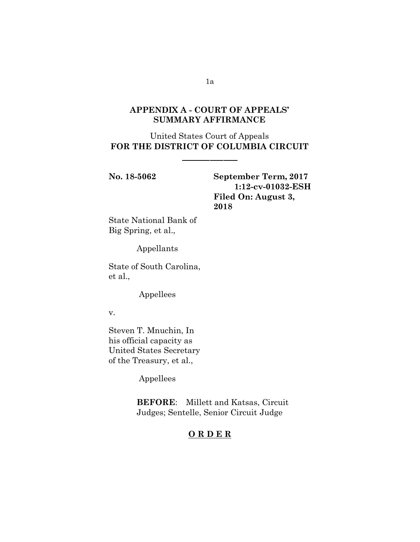# **APPENDIX A - COURT OF APPEALS' SUMMARY AFFIRMANCE**

United States Court of Appeals **FOR THE DISTRICT OF COLUMBIA CIRCUIT**

**No. 18-5062 September Term, 2017 1:12-cv-01032-ESH Filed On: August 3, 2018**

State National Bank of Big Spring, et al.,

Appellants

State of South Carolina, et al.,

Appellees

v.

Steven T. Mnuchin, In his official capacity as United States Secretary of the Treasury, et al.,

Appellees

**BEFORE**: Millett and Katsas, Circuit Judges; Sentelle, Senior Circuit Judge

# **O R D E R**

1a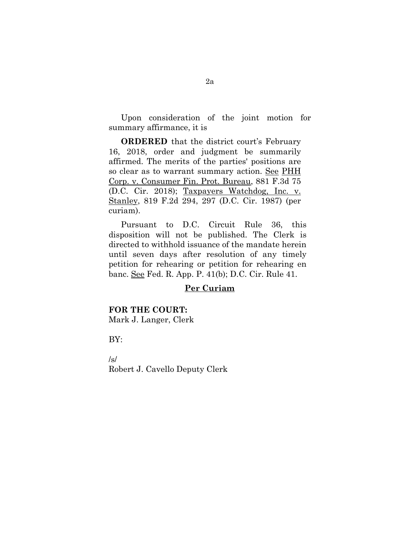Upon consideration of the joint motion for summary affirmance, it is

**ORDERED** that the district court's February 16, 2018, order and judgment be summarily affirmed. The merits of the parties' positions are so clear as to warrant summary action. See PHH Corp. v. Consumer Fin. Prot. Bureau, 881 F.3d 75 (D.C. Cir. 2018); Taxpayers Watchdog, Inc. v. Stanley, 819 F.2d 294, 297 (D.C. Cir. 1987) (per curiam).

Pursuant to D.C. Circuit Rule 36, this disposition will not be published. The Clerk is directed to withhold issuance of the mandate herein until seven days after resolution of any timely petition for rehearing or petition for rehearing en banc. See Fed. R. App. P. 41(b); D.C. Cir. Rule 41.

### **Per Curiam**

#### **FOR THE COURT:**

Mark J. Langer, Clerk

BY:

/s/ Robert J. Cavello Deputy Clerk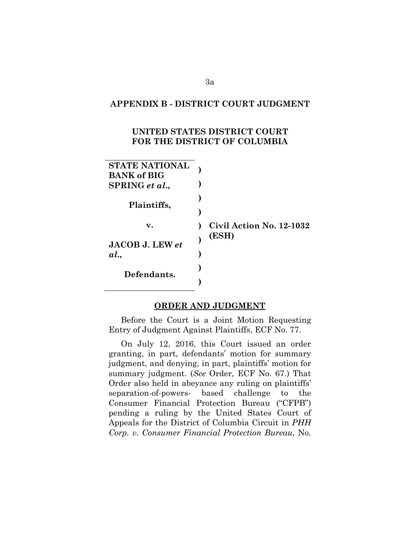### **APPENDIX B - DISTRICT COURT JUDGMENT**

# **UNITED STATES DISTRICT COURT FOR THE DISTRICT OF COLUMBIA**

| <b>STATE NATIONAL</b><br><b>BANK of BIG</b><br>SPRING et al., |                          |
|---------------------------------------------------------------|--------------------------|
| Plaintiffs,                                                   |                          |
| v.                                                            | Civil Action No. 12-1032 |
| <b>JACOB J. LEW et</b>                                        | (ESH)                    |
| al.                                                           |                          |
| Defendants.                                                   |                          |
|                                                               |                          |

### **ORDER AND JUDGMENT**

Before the Court is a Joint Motion Requesting Entry of Judgment Against Plaintiffs, ECF No. 77.

On July 12, 2016, this Court issued an order granting, in part, defendants' motion for summary judgment, and denying, in part, plaintiffs' motion for summary judgment. (*See* Order, ECF No. 67.) That Order also held in abeyance any ruling on plaintiffs' separation-of-powers- based challenge to the Consumer Financial Protection Bureau ("CFPB") pending a ruling by the United States Court of Appeals for the District of Columbia Circuit in *PHH Corp. v. Consumer Financial Protection Bureau*, No.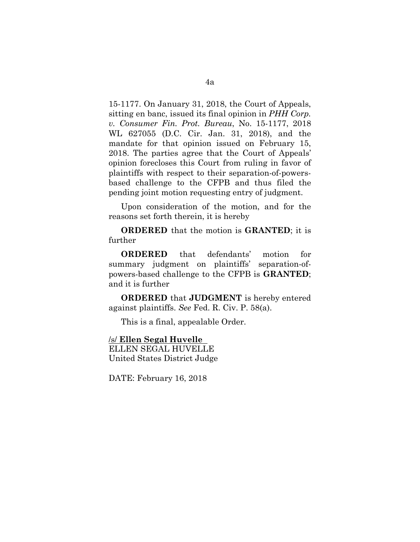15-1177. On January 31, 2018, the Court of Appeals, sitting en banc, issued its final opinion in *PHH Corp. v. Consumer Fin. Prot. Bureau*, No. 15-1177, 2018 WL 627055 (D.C. Cir. Jan. 31, 2018), and the mandate for that opinion issued on February 15, 2018. The parties agree that the Court of Appeals' opinion forecloses this Court from ruling in favor of plaintiffs with respect to their separation-of-powersbased challenge to the CFPB and thus filed the pending joint motion requesting entry of judgment.

Upon consideration of the motion, and for the reasons set forth therein, it is hereby

**ORDERED** that the motion is **GRANTED**; it is further

**ORDERED** that defendants' motion for summary judgment on plaintiffs' separation-ofpowers-based challenge to the CFPB is **GRANTED**; and it is further

**ORDERED** that **JUDGMENT** is hereby entered against plaintiffs. *See* Fed. R. Civ. P. 58(a).

This is a final, appealable Order.

/s/ **Ellen Segal Huvelle**  ELLEN SEGAL HUVELLE United States District Judge

DATE: February 16, 2018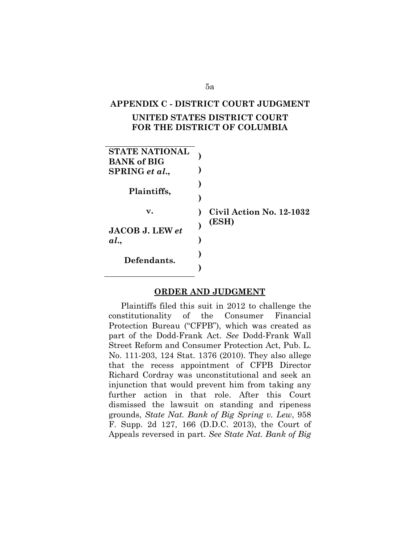#### **APPENDIX C - DISTRICT COURT JUDGMENT**

# **UNITED STATES DISTRICT COURT FOR THE DISTRICT OF COLUMBIA**



#### **ORDER AND JUDGMENT**

Plaintiffs filed this suit in 2012 to challenge the constitutionality of the Consumer Financial Protection Bureau ("CFPB"), which was created as part of the Dodd-Frank Act. *See* Dodd-Frank Wall Street Reform and Consumer Protection Act, Pub. L. No. 111-203, 124 Stat. 1376 (2010). They also allege that the recess appointment of CFPB Director Richard Cordray was unconstitutional and seek an injunction that would prevent him from taking any further action in that role. After this Court dismissed the lawsuit on standing and ripeness grounds, *State Nat. Bank of Big Spring v. Lew*, 958 F. Supp. 2d 127, 166 (D.D.C. 2013), the Court of Appeals reversed in part. *See State Nat. Bank of Big* 

5a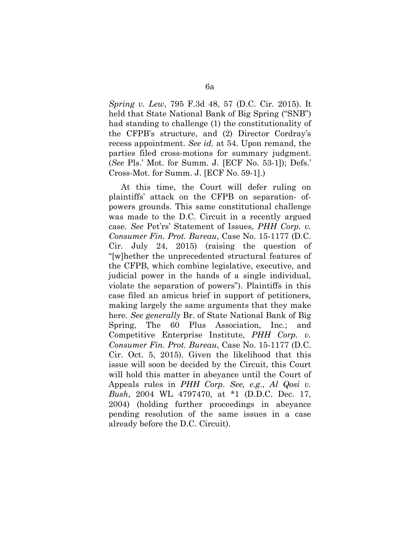*Spring v. Lew*, 795 F.3d 48, 57 (D.C. Cir. 2015). It held that State National Bank of Big Spring ("SNB") had standing to challenge (1) the constitutionality of the CFPB's structure, and (2) Director Cordray's recess appointment. *See id.* at 54. Upon remand, the parties filed cross-motions for summary judgment. (*See* Pls.' Mot. for Summ. J. [ECF No. 53-1]); Defs.' Cross-Mot. for Summ. J. [ECF No. 59-1].)

At this time, the Court will defer ruling on plaintiffs' attack on the CFPB on separation- ofpowers grounds. This same constitutional challenge was made to the D.C. Circuit in a recently argued case. *See* Pet'rs' Statement of Issues, *PHH Corp. v. Consumer Fin. Prot. Bureau*, Case No. 15-1177 (D.C. Cir. July 24, 2015) (raising the question of "[w]hether the unprecedented structural features of the CFPB, which combine legislative, executive, and judicial power in the hands of a single individual, violate the separation of powers"). Plaintiffs in this case filed an amicus brief in support of petitioners, making largely the same arguments that they make here. *See generally* Br. of State National Bank of Big Spring, The 60 Plus Association, Inc.; and Competitive Enterprise Institute, *PHH Corp. v. Consumer Fin. Prot. Bureau*, Case No. 15-1177 (D.C. Cir. Oct. 5, 2015). Given the likelihood that this issue will soon be decided by the Circuit, this Court will hold this matter in abeyance until the Court of Appeals rules in *PHH Corp*. *See, e.g.*, *Al Qosi v. Bush*, 2004 WL 4797470, at \*1 (D.D.C. Dec. 17, 2004) (holding further proceedings in abeyance pending resolution of the same issues in a case already before the D.C. Circuit).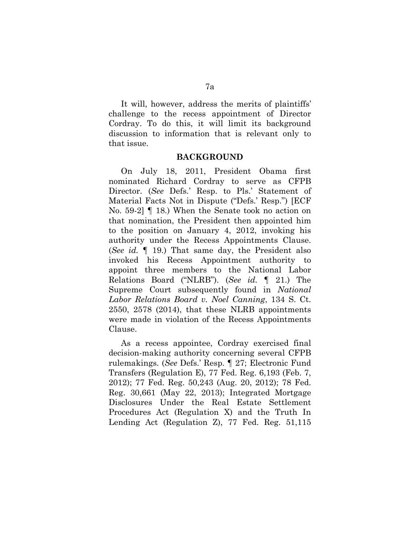It will, however, address the merits of plaintiffs' challenge to the recess appointment of Director Cordray. To do this, it will limit its background discussion to information that is relevant only to that issue.

#### **BACKGROUND**

On July 18, 2011, President Obama first nominated Richard Cordray to serve as CFPB Director. (*See* Defs.' Resp. to Pls.' Statement of Material Facts Not in Dispute ("Defs.' Resp.") [ECF No. 59-2] ¶ 18.) When the Senate took no action on that nomination, the President then appointed him to the position on January 4, 2012, invoking his authority under the Recess Appointments Clause. (*See id.* ¶ 19.) That same day, the President also invoked his Recess Appointment authority to appoint three members to the National Labor Relations Board ("NLRB"). (*See id.* ¶ 21.) The Supreme Court subsequently found in *National Labor Relations Board v. Noel Canning*, 134 S. Ct. 2550, 2578 (2014), that these NLRB appointments were made in violation of the Recess Appointments Clause.

As a recess appointee, Cordray exercised final decision-making authority concerning several CFPB rulemakings. (*See* Defs.' Resp. ¶ 27; Electronic Fund Transfers (Regulation E), 77 Fed. Reg. 6,193 (Feb. 7, 2012); 77 Fed. Reg. 50,243 (Aug. 20, 2012); 78 Fed. Reg. 30,661 (May 22, 2013); Integrated Mortgage Disclosures Under the Real Estate Settlement Procedures Act (Regulation X) and the Truth In Lending Act (Regulation Z), 77 Fed. Reg. 51,115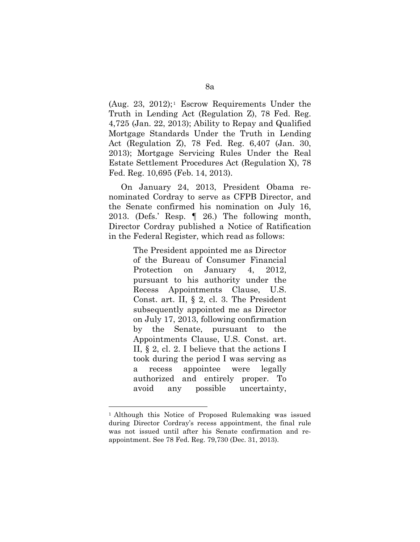(Aug. 23, 20[1](#page-7-0)2);<sup>1</sup> [E](#page-8-0)scrow Requirements Under the Truth in Lending Act (Regulation Z), 78 Fed. Reg. 4,725 (Jan. 22, 2013); Ability to Repay and Qualified Mortgage Standards Under the Truth in Lending Act (Regulation Z), 78 Fed. Reg. 6,407 (Jan. 30, 2013); Mortgage Servicing Rules Under the Real Estate Settlement Procedures Act (Regulation X), 78 Fed. Reg. 10,695 (Feb. 14, 2013).

On January 24, 2013, President Obama renominated Cordray to serve as CFPB Director, and the Senate confirmed his nomination on July 16, 2013. (Defs.' Resp. ¶ 26.) The following month, Director Cordray published a Notice of Ratification in the Federal Register, which read as follows:

> The President appointed me as Director of the Bureau of Consumer Financial Protection on January 4, 2012, pursuant to his authority under the Recess Appointments Clause, U.S. Const. art. II, § 2, cl. 3. The President subsequently appointed me as Director on July 17, 2013, following confirmation by the Senate, pursuant to the Appointments Clause, U.S. Const. art. II, § 2, cl. 2. I believe that the actions I took during the period I was serving as a recess appointee were legally authorized and entirely proper. To avoid any possible uncertainty,

<span id="page-7-0"></span><sup>1</sup> Although this Notice of Proposed Rulemaking was issued during Director Cordray's recess appointment, the final rule was not issued until after his Senate confirmation and reappointment. See 78 Fed. Reg. 79,730 (Dec. 31, 2013).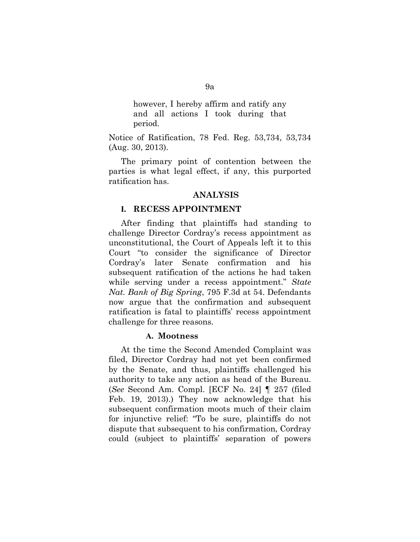<span id="page-8-0"></span>however, I hereby affirm and ratify any and all actions I took during that period.

Notice of Ratification, 78 Fed. Reg. 53,734, 53,734 (Aug. 30, 2013).

The primary point of contention between the parties is what legal effect, if any, this purported ratification has.

#### **ANALYSIS**

### **I. RECESS APPOINTMENT**

After finding that plaintiffs had standing to challenge Director Cordray's recess appointment as unconstitutional, the Court of Appeals left it to this Court "to consider the significance of Director Cordray's later Senate confirmation and his subsequent ratification of the actions he had taken while serving under a recess appointment." *State Nat. Bank of Big Spring*, 795 F.3d at 54. Defendants now argue that the confirmation and subsequent ratification is fatal to plaintiffs' recess appointment challenge for three reasons.

#### **A. Mootness**

At the time the Second Amended Complaint was filed, Director Cordray had not yet been confirmed by the Senate, and thus, plaintiffs challenged his authority to take any action as head of the Bureau. (*See* Second Am. Compl. [ECF No. 24] ¶ 257 (filed Feb. 19, 2013).) They now acknowledge that his subsequent confirmation moots much of their claim for injunctive relief: "To be sure, plaintiffs do not dispute that subsequent to his confirmation, Cordray could (subject to plaintiffs' separation of powers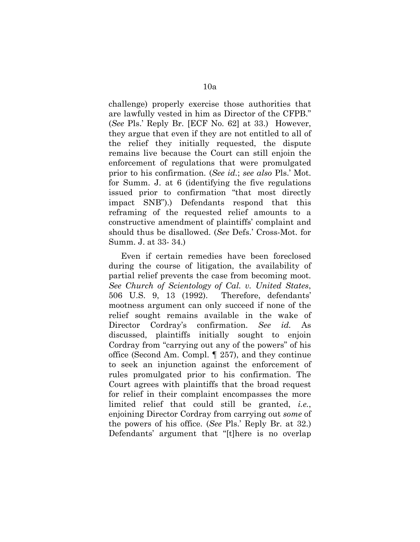challenge) properly exercise those authorities that are lawfully vested in him as Director of the CFPB." (*See* Pls.' Reply Br. [ECF No. 62] at 33.) However, they argue that even if they are not entitled to all of the relief they initially requested, the dispute remains live because the Court can still enjoin the enforcement of regulations that were promulgated prior to his confirmation. (*See id.*; *see also* Pls.' Mot. for Summ. J. at 6 (identifying the five regulations issued prior to confirmation "that most directly impact SNB").) Defendants respond that this reframing of the requested relief amounts to a constructive amendment of plaintiffs' complaint and should thus be disallowed. (*See* Defs.' Cross-Mot. for Summ. J. at 33- 34.)

Even if certain remedies have been foreclosed during the course of litigation, the availability of partial relief prevents the case from becoming moot. *See Church of Scientology of Cal. v. United States*, 506 U.S. 9, 13 (1992). Therefore, defendants' mootness argument can only succeed if none of the relief sought remains available in the wake of Director Cordray's confirmation. *See id.* As discussed, plaintiffs initially sought to enjoin Cordray from "carrying out any of the powers" of his office (Second Am. Compl. ¶ 257), and they continue to seek an injunction against the enforcement of rules promulgated prior to his confirmation. The Court agrees with plaintiffs that the broad request for relief in their complaint encompasses the more limited relief that could still be granted, *i.e.*, enjoining Director Cordray from carrying out *some* of the powers of his office. (*See* Pls.' Reply Br. at 32.) Defendants' argument that "[t]here is no overlap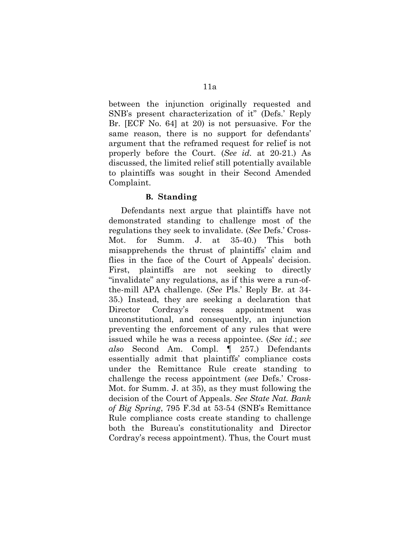between the injunction originally requested and SNB's present characterization of it" (Defs.' Reply Br. [ECF No. 64] at 20) is not persuasive. For the same reason, there is no support for defendants' argument that the reframed request for relief is not properly before the Court. (*See id.* at 20-21.) As discussed, the limited relief still potentially available to plaintiffs was sought in their Second Amended Complaint.

## **B. Standing**

Defendants next argue that plaintiffs have not demonstrated standing to challenge most of the regulations they seek to invalidate. (*See* Defs.' Cross-Mot. for Summ. J. at 35-40.) This both misapprehends the thrust of plaintiffs' claim and flies in the face of the Court of Appeals' decision. First, plaintiffs are not seeking to directly "invalidate" any regulations, as if this were a run-ofthe-mill APA challenge. (*See* Pls.' Reply Br. at 34- 35.) Instead, they are seeking a declaration that Director Cordray's recess appointment was unconstitutional, and consequently, an injunction preventing the enforcement of any rules that were issued while he was a recess appointee. (*See id.*; *see also* Second Am. Compl. ¶ 257.) Defendants essentially admit that plaintiffs' compliance costs under the Remittance Rule create standing to challenge the recess appointment (*see* Defs.' Cross-Mot. for Summ. J. at 35), as they must following the decision of the Court of Appeals. *See State Nat. Bank of Big Spring*, 795 F.3d at 53-54 (SNB's Remittance Rule compliance costs create standing to challenge both the Bureau's constitutionality and Director Cordray's recess appointment). Thus, the Court must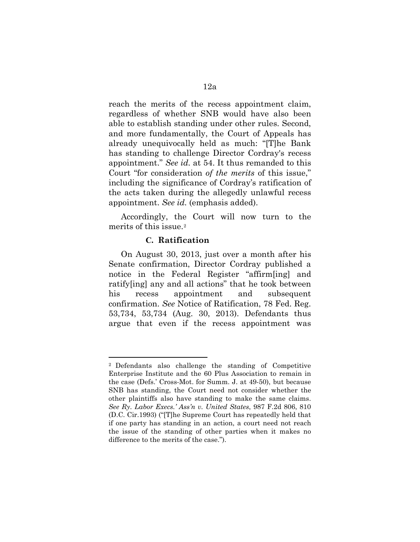reach the merits of the recess appointment claim, regardless of whether SNB would have also been able to establish standing under other rules. Second, and more fundamentally, the Court of Appeals has already unequivocally held as much: "[T]he Bank has standing to challenge Director Cordray's recess appointment." *See id.* at 54. It thus remanded to this Court "for consideration *of the merits* of this issue," including the significance of Cordray's ratification of the acts taken during the allegedly unlawful recess appointment. *See id.* (emphasis added).

Accordingly, the Court will now turn to the merits of this issue.[2](#page-11-0)

#### **C. Ratification**

 $\overline{a}$ 

On August 30, 2013, just over a month after his Senate confirmation, Director Cordray published a notice in the Federal Register "affirm[ing] and ratify[ing] any and all actions" that he took between his recess appointment and subsequent confirmation. *See* Notice of Ratification, 78 Fed. Reg. 53,734, 53,734 (Aug. 30, 2013). Defendants thus argue that even if the recess appointment was

<span id="page-11-0"></span><sup>2</sup> Defendants also challenge the standing of Competitive Enterprise Institute and the 60 Plus Association to remain in the case (Defs.' Cross-Mot. for Summ. J. at 49-50), but because SNB has standing, the Court need not consider whether the other plaintiffs also have standing to make the same claims. *See Ry. Labor Execs.' Ass'n v. United States*, 987 F.2d 806, 810 (D.C. Cir.1993) ("[T]he Supreme Court has repeatedly held that if one party has standing in an action, a court need not reach the issue of the standing of other parties when it makes no difference to the merits of the case.").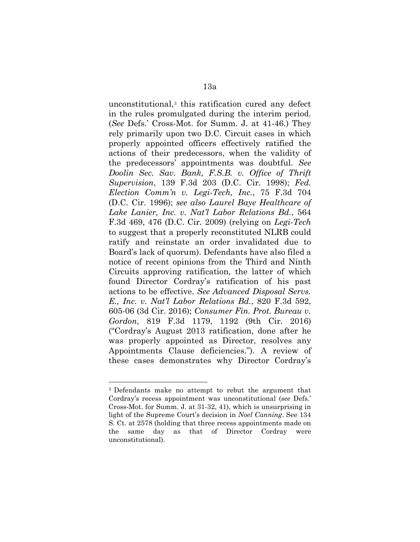unconstitutional,[3](#page-12-0) this ratification cured any defect in the rules promulgated during the interim period. (*See* Defs.' Cross-Mot. for Summ. J. at 41-46.) They rely primarily upon two D.C. Circuit cases in which properly appointed officers effectively ratified the actions of their predecessors, when the validity of the predecessors' appointments was doubtful. *See Doolin Sec. Sav. Bank, F.S.B. v. Office of Thrift Supervision*, 139 F.3d 203 (D.C. Cir. 1998); *Fed. Election Comm'n v. Legi-Tech, Inc.*, 75 F.3d 704 (D.C. Cir. 1996); *see also Laurel Baye Healthcare of Lake Lanier, Inc. v. Nat'l Labor Relations Bd.*, 564 F.3d 469, 476 (D.C. Cir. 2009) (relying on *Legi-Tech*  to suggest that a properly reconstituted NLRB could ratify and reinstate an order invalidated due to Board's lack of quorum). Defendants have also filed a notice of recent opinions from the Third and Ninth Circuits approving ratification, the latter of which found Director Cordray's ratification of his past actions to be effective. *See Advanced Disposal Servs. E., Inc. v. Nat'l Labor Relations Bd.*, 820 F.3d 592, 605-06 (3d Cir. 2016); *Consumer Fin. Prot. Bureau v. Gordon*, 819 F.3d 1179, 1192 (9th Cir. 2016) ("Cordray's August 2013 ratification, done after he was properly appointed as Director, resolves any Appointments Clause deficiencies."). A review of these cases demonstrates why Director Cordray's

<span id="page-12-0"></span><sup>3</sup> Defendants make no attempt to rebut the argument that Cordray's recess appointment was unconstitutional (*see* Defs.' Cross-Mot. for Summ. J. at 31-32, 41), which is unsurprising in light of the Supreme Court's decision in *Noel Canning*. See 134 S. Ct. at 2578 (holding that three recess appointments made on the same day as that of Director Cordray were unconstitutional).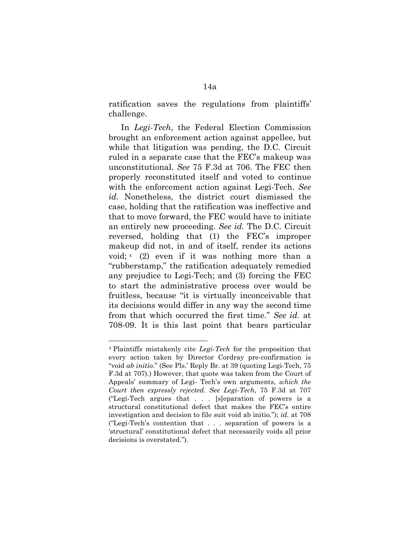ratification saves the regulations from plaintiffs' challenge.

In *Legi-Tech*, the Federal Election Commission brought an enforcement action against appellee, but while that litigation was pending, the D.C. Circuit ruled in a separate case that the FEC's makeup was unconstitutional. *See* 75 F.3d at 706. The FEC then properly reconstituted itself and voted to continue with the enforcement action against Legi-Tech. *See id.* Nonetheless, the district court dismissed the case, holding that the ratification was ineffective and that to move forward, the FEC would have to initiate an entirely new proceeding. *See id.* The D.C. Circuit reversed, holding that (1) the FEC's improper makeup did not, in and of itself, render its actions void; [4](#page-13-0) (2) even if it was nothing more than a "rubberstamp," the ratification adequately remedied any prejudice to Legi-Tech; and (3) forcing the FEC to start the administrative process over would be fruitless, because "it is virtually inconceivable that its decisions would differ in any way the second time from that which occurred the first time." *See id.* at 708-09. It is this last point that bears particular

 $\overline{a}$ 

<span id="page-13-0"></span><sup>4</sup> Plaintiffs mistakenly cite *Legi-Tech* for the proposition that every action taken by Director Cordray pre-confirmation is "void *ab initio*." (See Pls.' Reply Br. at 39 (quoting Legi-Tech, 75 F.3d at 707).) However, that quote was taken from the Court of Appeals' summary of Legi- Tech's own arguments, *which the Court then expressly rejected*. *See Legi-Tech*, 75 F.3d at 707 ("Legi-Tech argues that . . . [s]eparation of powers is a structural constitutional defect that makes the FEC's entire investigation and decision to file suit void ab initio."); *id.* at 708 ("Legi-Tech's contention that . . . separation of powers is a 'structural' constitutional defect that necessarily voids all prior decisions is overstated.").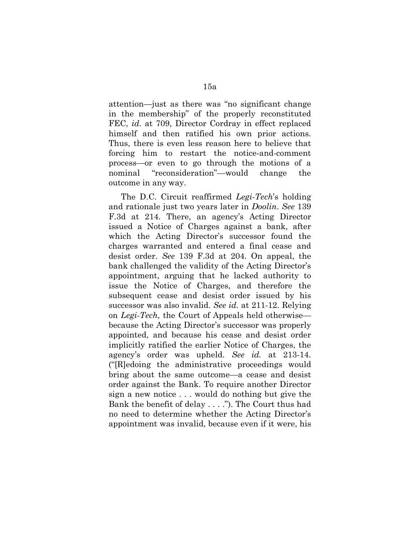attention—just as there was "no significant change in the membership" of the properly reconstituted FEC, *id.* at 709, Director Cordray in effect replaced himself and then ratified his own prior actions. Thus, there is even less reason here to believe that forcing him to restart the notice-and-comment process—or even to go through the motions of a nominal "reconsideration"—would change the outcome in any way.

The D.C. Circuit reaffirmed *Legi-Tech*'s holding and rationale just two years later in *Doolin*. *See* 139 F.3d at 214. There, an agency's Acting Director issued a Notice of Charges against a bank, after which the Acting Director's successor found the charges warranted and entered a final cease and desist order. *See* 139 F.3d at 204. On appeal, the bank challenged the validity of the Acting Director's appointment, arguing that he lacked authority to issue the Notice of Charges, and therefore the subsequent cease and desist order issued by his successor was also invalid. *See id.* at 211-12. Relying on *Legi-Tech*, the Court of Appeals held otherwise because the Acting Director's successor was properly appointed, and because his cease and desist order implicitly ratified the earlier Notice of Charges, the agency's order was upheld. *See id.* at 213-14. ("[R]edoing the administrative proceedings would bring about the same outcome—a cease and desist order against the Bank. To require another Director sign a new notice . . . would do nothing but give the Bank the benefit of delay . . . ."). The Court thus had no need to determine whether the Acting Director's appointment was invalid, because even if it were, his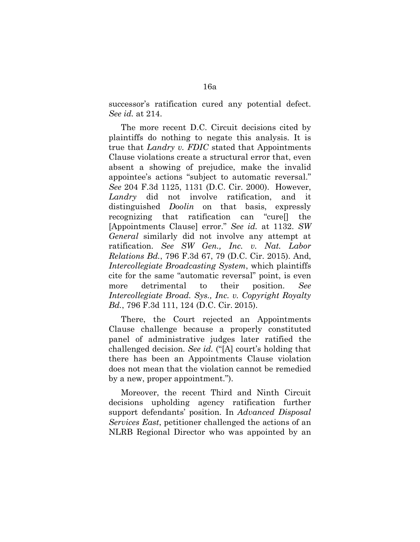successor's ratification cured any potential defect. *See id.* at 214.

The more recent D.C. Circuit decisions cited by plaintiffs do nothing to negate this analysis. It is true that *Landry v. FDIC* stated that Appointments Clause violations create a structural error that, even absent a showing of prejudice, make the invalid appointee's actions "subject to automatic reversal." *See* 204 F.3d 1125, 1131 (D.C. Cir. 2000). However, *Landry* did not involve ratification, and it distinguished *Doolin* on that basis, expressly recognizing that ratification can "cure[] the [Appointments Clause] error." *See id.* at 1132. *SW General* similarly did not involve any attempt at ratification. *See SW Gen., Inc. v. Nat. Labor Relations Bd.*, 796 F.3d 67, 79 (D.C. Cir. 2015). And, *Intercollegiate Broadcasting System*, which plaintiffs cite for the same "automatic reversal" point, is even more detrimental to their position. *See Intercollegiate Broad. Sys., Inc. v. Copyright Royalty Bd.*, 796 F.3d 111, 124 (D.C. Cir. 2015).

There, the Court rejected an Appointments Clause challenge because a properly constituted panel of administrative judges later ratified the challenged decision. *See id.* ("[A] court's holding that there has been an Appointments Clause violation does not mean that the violation cannot be remedied by a new, proper appointment.").

Moreover, the recent Third and Ninth Circuit decisions upholding agency ratification further support defendants' position. In *Advanced Disposal Services East*, petitioner challenged the actions of an NLRB Regional Director who was appointed by an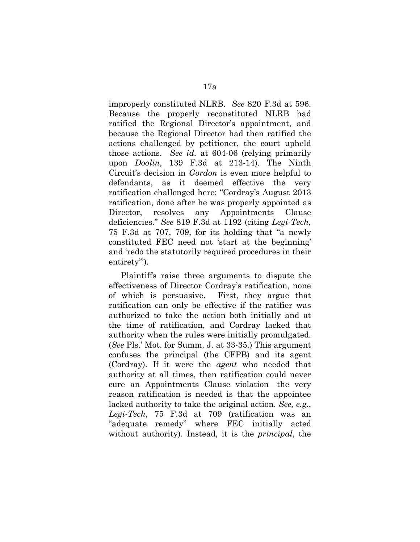improperly constituted NLRB. *See* 820 F.3d at 596. Because the properly reconstituted NLRB had ratified the Regional Director's appointment, and because the Regional Director had then ratified the actions challenged by petitioner, the court upheld those actions. *See id.* at 604-06 (relying primarily upon *Doolin*, 139 F.3d at 213-14). The Ninth Circuit's decision in *Gordon* is even more helpful to defendants, as it deemed effective the very ratification challenged here: "Cordray's August 2013 ratification, done after he was properly appointed as Director, resolves any Appointments Clause deficiencies." *See* 819 F.3d at 1192 (citing *Legi-Tech*, 75 F.3d at 707, 709, for its holding that "a newly constituted FEC need not 'start at the beginning' and 'redo the statutorily required procedures in their entirety").

Plaintiffs raise three arguments to dispute the effectiveness of Director Cordray's ratification, none of which is persuasive. First, they argue that ratification can only be effective if the ratifier was authorized to take the action both initially and at the time of ratification, and Cordray lacked that authority when the rules were initially promulgated. (*See* Pls.' Mot. for Summ. J. at 33-35.) This argument confuses the principal (the CFPB) and its agent (Cordray). If it were the *agent* who needed that authority at all times, then ratification could never cure an Appointments Clause violation—the very reason ratification is needed is that the appointee lacked authority to take the original action. *See, e.g.*, *Legi-Tech*, 75 F.3d at 709 (ratification was an "adequate remedy" where FEC initially acted without authority). Instead, it is the *principal*, the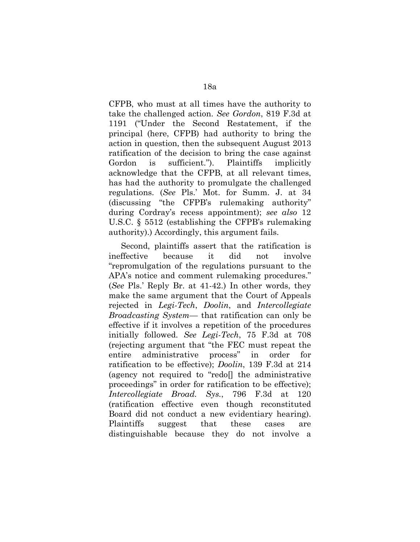CFPB, who must at all times have the authority to take the challenged action. *See Gordon*, 819 F.3d at 1191 ("Under the Second Restatement, if the principal (here, CFPB) had authority to bring the action in question, then the subsequent August 2013 ratification of the decision to bring the case against Gordon is sufficient."). Plaintiffs implicitly acknowledge that the CFPB, at all relevant times, has had the authority to promulgate the challenged regulations. (*See* Pls.' Mot. for Summ. J. at 34 (discussing "the CFPB's rulemaking authority" during Cordray's recess appointment); *see also* 12 U.S.C. § 5512 (establishing the CFPB's rulemaking authority).) Accordingly, this argument fails.

Second, plaintiffs assert that the ratification is ineffective because it did not involve "repromulgation of the regulations pursuant to the APA's notice and comment rulemaking procedures." (*See* Pls.' Reply Br. at 41-42.) In other words, they make the same argument that the Court of Appeals rejected in *Legi-Tech*, *Doolin*, and *Intercollegiate Broadcasting System*— that ratification can only be effective if it involves a repetition of the procedures initially followed. *See Legi-Tech*, 75 F.3d at 708 (rejecting argument that "the FEC must repeat the entire administrative process" in order for ratification to be effective); *Doolin*, 139 F.3d at 214 (agency not required to "redo[] the administrative proceedings" in order for ratification to be effective); *Intercollegiate Broad. Sys.*, 796 F.3d at 120 (ratification effective even though reconstituted Board did not conduct a new evidentiary hearing). Plaintiffs suggest that these cases are distinguishable because they do not involve a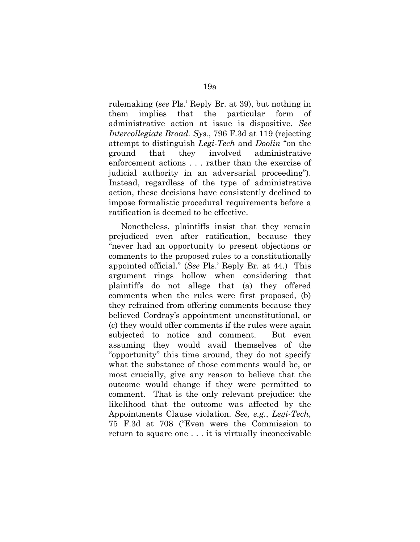rulemaking (*see* Pls.' Reply Br. at 39), but nothing in them implies that the particular form of administrative action at issue is dispositive. *See Intercollegiate Broad. Sys.*, 796 F.3d at 119 (rejecting attempt to distinguish *Legi-Tech* and *Doolin* "on the ground that they involved administrative enforcement actions . . . rather than the exercise of judicial authority in an adversarial proceeding"). Instead, regardless of the type of administrative action, these decisions have consistently declined to impose formalistic procedural requirements before a ratification is deemed to be effective.

Nonetheless, plaintiffs insist that they remain prejudiced even after ratification, because they "never had an opportunity to present objections or comments to the proposed rules to a constitutionally appointed official." (*See* Pls.' Reply Br. at 44.) This argument rings hollow when considering that plaintiffs do not allege that (a) they offered comments when the rules were first proposed, (b) they refrained from offering comments because they believed Cordray's appointment unconstitutional, or (c) they would offer comments if the rules were again subjected to notice and comment. But even assuming they would avail themselves of the "opportunity" this time around, they do not specify what the substance of those comments would be, or most crucially, give any reason to believe that the outcome would change if they were permitted to comment. That is the only relevant prejudice: the likelihood that the outcome was affected by the Appointments Clause violation. *See, e.g.*, *Legi-Tech*, 75 F.3d at 708 ("Even were the Commission to return to square one . . . it is virtually inconceivable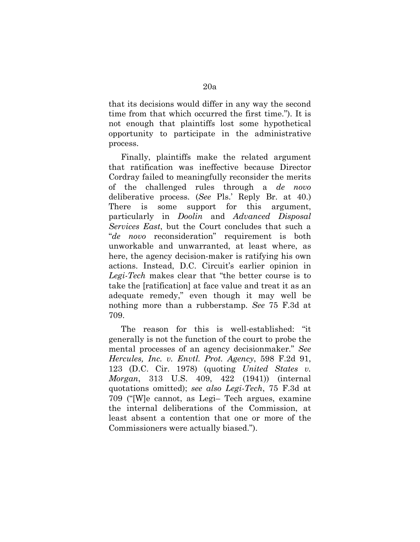that its decisions would differ in any way the second time from that which occurred the first time."). It is not enough that plaintiffs lost some hypothetical opportunity to participate in the administrative process.

Finally, plaintiffs make the related argument that ratification was ineffective because Director Cordray failed to meaningfully reconsider the merits of the challenged rules through a *de novo*  deliberative process. (*See* Pls.' Reply Br. at 40.) There is some support for this argument, particularly in *Doolin* and *Advanced Disposal Services East*, but the Court concludes that such a "*de novo* reconsideration" requirement is both unworkable and unwarranted, at least where, as here, the agency decision-maker is ratifying his own actions. Instead, D.C. Circuit's earlier opinion in *Legi-Tech* makes clear that "the better course is to take the [ratification] at face value and treat it as an adequate remedy," even though it may well be nothing more than a rubberstamp. *See* 75 F.3d at 709.

The reason for this is well-established: "it generally is not the function of the court to probe the mental processes of an agency decisionmaker." *See Hercules, Inc. v. Envtl. Prot. Agency*, 598 F.2d 91, 123 (D.C. Cir. 1978) (quoting *United States v. Morgan*, 313 U.S. 409, 422 (1941)) (internal quotations omitted); *see also Legi-Tech*, 75 F.3d at 709 ("[W]e cannot, as Legi– Tech argues, examine the internal deliberations of the Commission, at least absent a contention that one or more of the Commissioners were actually biased.").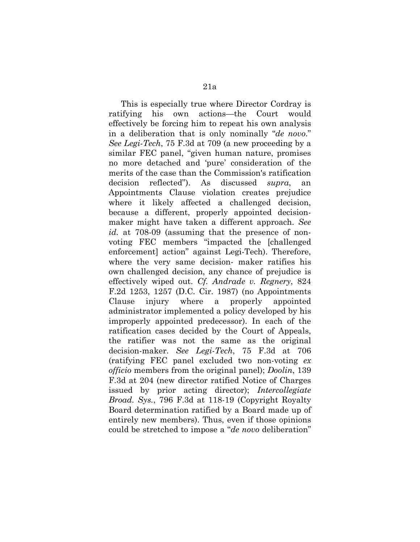This is especially true where Director Cordray is ratifying his own actions—the Court would effectively be forcing him to repeat his own analysis in a deliberation that is only nominally "*de novo*." *See Legi-Tech*, 75 F.3d at 709 (a new proceeding by a similar FEC panel, "given human nature, promises no more detached and 'pure' consideration of the merits of the case than the Commission's ratification decision reflected"). As discussed *supra*, an Appointments Clause violation creates prejudice where it likely affected a challenged decision, because a different, properly appointed decisionmaker might have taken a different approach. *See id.* at 708-09 (assuming that the presence of nonvoting FEC members "impacted the [challenged enforcement] action" against Legi-Tech). Therefore, where the very same decision- maker ratifies his own challenged decision, any chance of prejudice is effectively wiped out. *Cf. Andrade v. Regnery*, 824 F.2d 1253, 1257 (D.C. Cir. 1987) (no Appointments Clause injury where a properly appointed administrator implemented a policy developed by his improperly appointed predecessor). In each of the ratification cases decided by the Court of Appeals, the ratifier was not the same as the original decision-maker. *See Legi-Tech*, 75 F.3d at 706 (ratifying FEC panel excluded two non-voting *ex officio* members from the original panel); *Doolin*, 139 F.3d at 204 (new director ratified Notice of Charges issued by prior acting director); *Intercollegiate Broad. Sys.*, 796 F.3d at 118-19 (Copyright Royalty Board determination ratified by a Board made up of entirely new members). Thus, even if those opinions could be stretched to impose a "*de novo* deliberation"